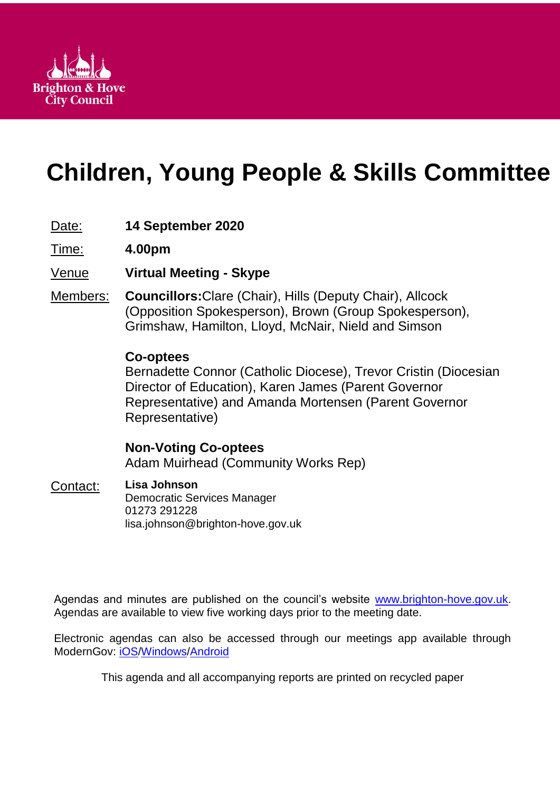

# **Children, Young People & Skills Committee**

## Date: **14 September 2020**

Time: **4.00pm**

Venue **Virtual Meeting - Skype**

Members: **Councillors:**Clare (Chair), Hills (Deputy Chair), Allcock (Opposition Spokesperson), Brown (Group Spokesperson), Grimshaw, Hamilton, Lloyd, McNair, Nield and Simson

### **Co-optees**

Bernadette Connor (Catholic Diocese), Trevor Cristin (Diocesian Director of Education), Karen James (Parent Governor Representative) and Amanda Mortensen (Parent Governor Representative)

## **Non-Voting Co-optees** Adam Muirhead (Community Works Rep)

## Contact: **Lisa Johnson**

Democratic Services Manager 01273 291228 lisa.johnson@brighton-hove.gov.uk

Agendas and minutes are published on the council's website [www.brighton-hove.gov.uk.](http://www.brighton-hove.gov.uk/) Agendas are available to view five working days prior to the meeting date.

Electronic agendas can also be accessed through our meetings app available through ModernGov: [iOS](https://play.google.com/store/apps/details?id=uk.co.moderngov.modgov&hl=en_GB)[/Windows/](https://www.microsoft.com/en-gb/p/modgov/9nblggh0c7s7#activetab=pivot:overviewtab)[Android](https://play.google.com/store/apps/details?id=uk.co.moderngov.modgov&hl=en_GB)

This agenda and all accompanying reports are printed on recycled paper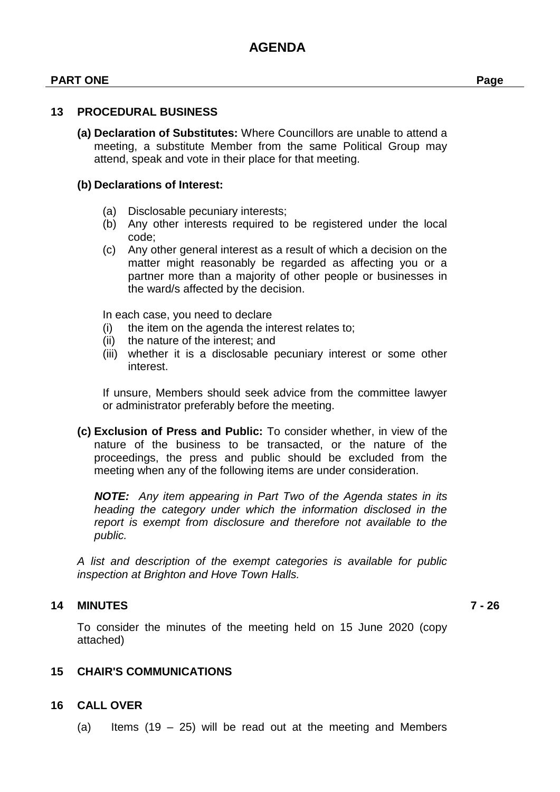#### **PART ONE Page**

#### **13 PROCEDURAL BUSINESS**

**(a) Declaration of Substitutes:** Where Councillors are unable to attend a meeting, a substitute Member from the same Political Group may attend, speak and vote in their place for that meeting.

#### **(b) Declarations of Interest:**

- (a) Disclosable pecuniary interests;
- (b) Any other interests required to be registered under the local code;
- (c) Any other general interest as a result of which a decision on the matter might reasonably be regarded as affecting you or a partner more than a majority of other people or businesses in the ward/s affected by the decision.

In each case, you need to declare

- (i) the item on the agenda the interest relates to;
- (ii) the nature of the interest; and
- (iii) whether it is a disclosable pecuniary interest or some other interest.

If unsure, Members should seek advice from the committee lawyer or administrator preferably before the meeting.

**(c) Exclusion of Press and Public:** To consider whether, in view of the nature of the business to be transacted, or the nature of the proceedings, the press and public should be excluded from the meeting when any of the following items are under consideration.

*NOTE: Any item appearing in Part Two of the Agenda states in its heading the category under which the information disclosed in the report is exempt from disclosure and therefore not available to the public.*

*A list and description of the exempt categories is available for public inspection at Brighton and Hove Town Halls.*

#### **14 MINUTES 7 - 26**

To consider the minutes of the meeting held on 15 June 2020 (copy attached)

#### **15 CHAIR'S COMMUNICATIONS**

#### **16 CALL OVER**

(a) Items  $(19 - 25)$  will be read out at the meeting and Members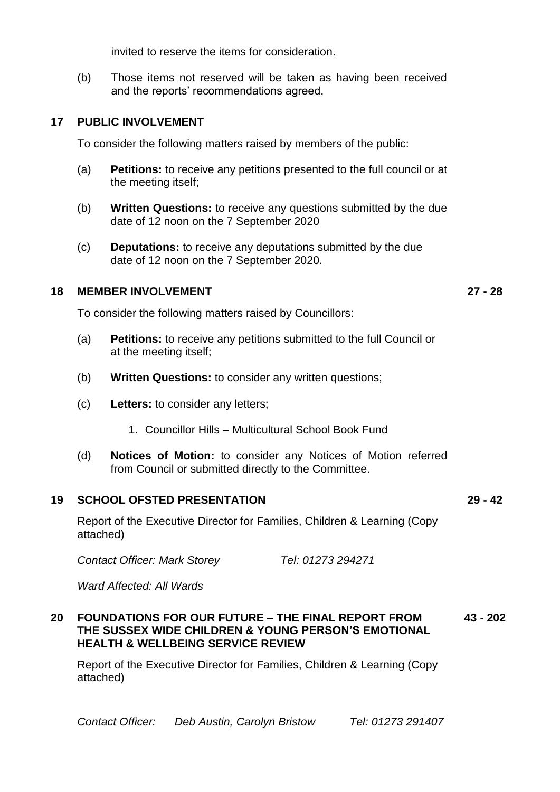invited to reserve the items for consideration.

(b) Those items not reserved will be taken as having been received and the reports' recommendations agreed.

#### **17 PUBLIC INVOLVEMENT**

To consider the following matters raised by members of the public:

- (a) **Petitions:** to receive any petitions presented to the full council or at the meeting itself;
- (b) **Written Questions:** to receive any questions submitted by the due date of 12 noon on the 7 September 2020
- (c) **Deputations:** to receive any deputations submitted by the due date of 12 noon on the 7 September 2020.

#### **18 MEMBER INVOLVEMENT 27 - 28**

To consider the following matters raised by Councillors:

- (a) **Petitions:** to receive any petitions submitted to the full Council or at the meeting itself;
- (b) **Written Questions:** to consider any written questions;
- (c) **Letters:** to consider any letters;
	- 1. Councillor Hills Multicultural School Book Fund
- (d) **Notices of Motion:** to consider any Notices of Motion referred from Council or submitted directly to the Committee.

#### **19 SCHOOL OFSTED PRESENTATION 29 - 42**

Report of the Executive Director for Families, Children & Learning (Copy attached)

*Contact Officer: Mark Storey Tel: 01273 294271*

*Ward Affected: All Wards*

#### **20 FOUNDATIONS FOR OUR FUTURE – THE FINAL REPORT FROM THE SUSSEX WIDE CHILDREN & YOUNG PERSON'S EMOTIONAL HEALTH & WELLBEING SERVICE REVIEW 43 - 202**

Report of the Executive Director for Families, Children & Learning (Copy attached)

*Contact Officer: Deb Austin, Carolyn Bristow Tel: 01273 291407*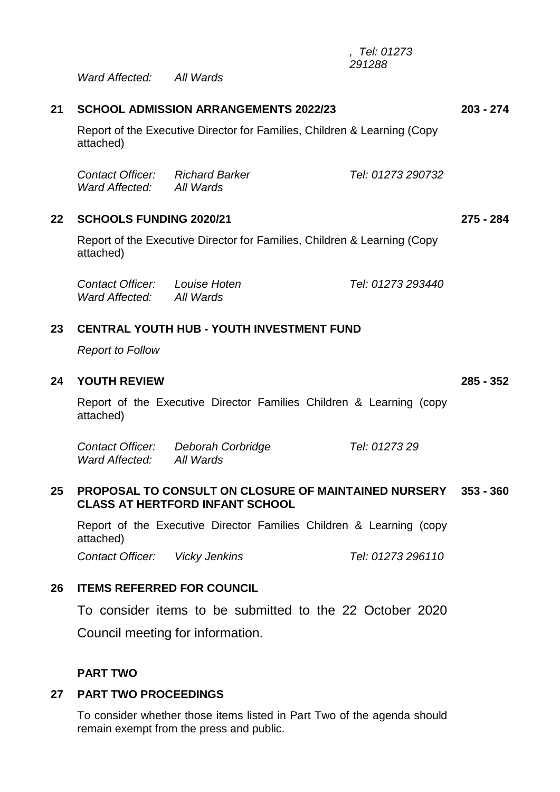*, Tel: 01273 291288*

*Ward Affected: All Wards*

| 21      | <b>SCHOOL ADMISSION ARRANGEMENTS 2022/23</b>                                                                            |                                    |                   | $203 - 274$ |
|---------|-------------------------------------------------------------------------------------------------------------------------|------------------------------------|-------------------|-------------|
|         | Report of the Executive Director for Families, Children & Learning (Copy<br>attached)                                   |                                    |                   |             |
|         | <b>Contact Officer:</b> Richard Barker<br>Ward Affected: All Wards                                                      |                                    | Tel: 01273 290732 |             |
| $22 \,$ | <b>SCHOOLS FUNDING 2020/21</b><br>Report of the Executive Director for Families, Children & Learning (Copy<br>attached) |                                    |                   | 275 - 284   |
|         |                                                                                                                         |                                    |                   |             |
|         | Contact Officer: Louise Hoten<br>Ward Affected: All Wards                                                               |                                    | Tel: 01273 293440 |             |
| 23      | <b>CENTRAL YOUTH HUB - YOUTH INVESTMENT FUND</b><br><b>Report to Follow</b>                                             |                                    |                   |             |
|         |                                                                                                                         |                                    |                   |             |
| 24      | <b>YOUTH REVIEW</b>                                                                                                     |                                    |                   | $285 - 352$ |
|         | Report of the Executive Director Families Children & Learning (copy<br>attached)                                        |                                    |                   |             |
|         | Ward Affected: All Wards                                                                                                | Contact Officer: Deborah Corbridge | Tel: 0127329      |             |
| 25      | <b>PROPOSAL TO CONSULT ON CLOSURE OF MAINTAINED NURSERY</b><br><b>CLASS AT HERTFORD INFANT SCHOOL</b>                   |                                    |                   | $353 - 360$ |

Report of the Executive Director Families Children & Learning (copy attached)

*Contact Officer: Vicky Jenkins Tel: 01273 296110*

#### **26 ITEMS REFERRED FOR COUNCIL**

To consider items to be submitted to the 22 October 2020 Council meeting for information.

#### **PART TWO**

#### **27 PART TWO PROCEEDINGS**

To consider whether those items listed in Part Two of the agenda should remain exempt from the press and public.